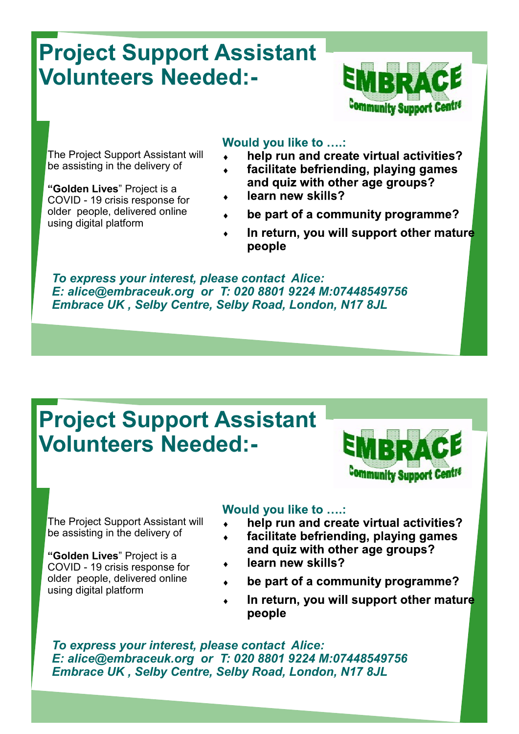# **Project Support Assistant Volunteers Needed:-**



The Project Support Assistant will be assisting in the delivery of

**"Golden Lives**" Project is a COVID - 19 crisis response for older people, delivered online using digital platform

### Would you like to ....:

- help run and create virtual activities?
- facilitate befriending, playing games  $\ddot{\bullet}$ and quiz with other age groups?
- learn new skills?
- be part of a community programme?
- In return, you will support other mature  $\blacklozenge$ people

*To express your interest, please contact Alice: E: alice@embraceuk.org or T: 020 8801 9224 M:07448549756 Embrace UK , Selby Centre, Selby Road, London, N17 8JL*

# **Project Support Assistant Volunteers Needed:-**



The Project Support Assistant will be assisting in the delivery of

**"Golden Lives**" Project is a COVID - 19 crisis response for older people, delivered online using digital platform

### Would you like to ....:

- help run and create virtual activities?  $\bullet$
- facilitate befriending, playing games
- and quiz with other age groups?
- learn new skills?
- be part of a community programme?
- In return, you will support other mature  $\blacklozenge$ people

*To express your interest, please contact Alice: E: alice@embraceuk.org or T: 020 8801 9224 M:07448549756 Embrace UK , Selby Centre, Selby Road, London, N17 8JL*